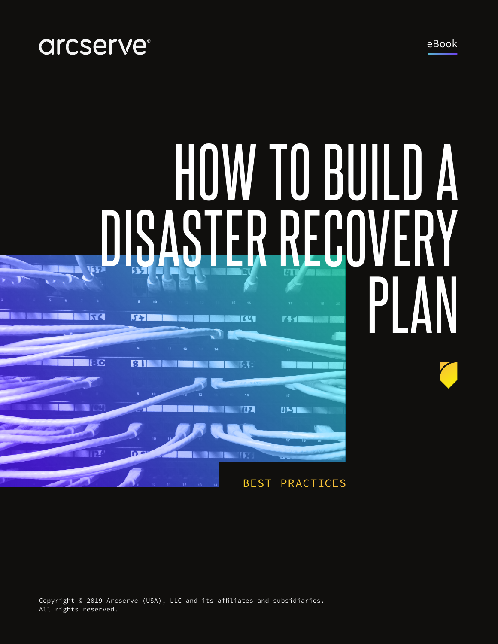## arcserve<sup>®</sup>

HOW TO BUILD A DISASTER RECOVERY PLAN **SISC** 531 KW 75 **g 13C**  $31$ **NR** 

**STATE TIPS** 

IE

**STEP** 

BEST PRACTICES

**DISTER** 

Copyright © 2019 Arcserve (USA), LLC and its affiliates and subsidiaries. All rights reserved.

**DE** 

eBook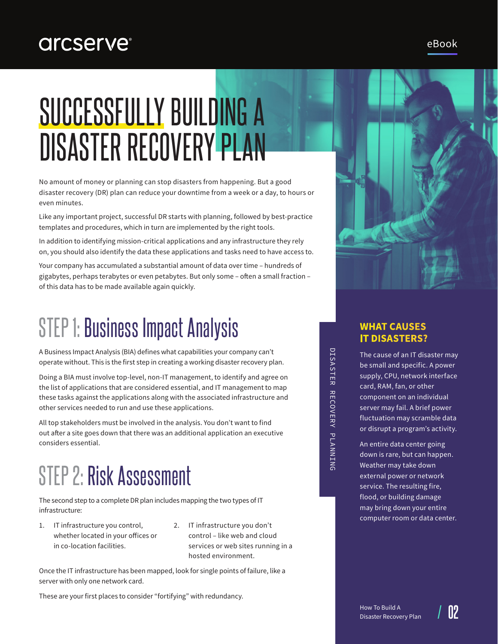### **arcserve®**

# SUCCESSFULLY BUILDING A DISASTER RECOVERY PLAN

No amount of money or planning can stop disasters from happening. But a good disaster recovery (DR) plan can reduce your downtime from a week or a day, to hours or even minutes.

Like any important project, successful DR starts with planning, followed by best-practice templates and procedures, which in turn are implemented by the right tools.

In addition to identifying mission-critical applications and any infrastructure they rely on, you should also identify the data these applications and tasks need to have access to.

Your company has accumulated a substantial amount of data over time – hundreds of gigabytes, perhaps terabytes or even petabytes. But only some – often a small fraction – of this data has to be made available again quickly.

## STEP 1: Business Impact Analysis

A Business Impact Analysis (BIA) defines what capabilities your company can't operate without. This is the first step in creating a working disaster recovery plan.

Doing a BIA must involve top-level, non-IT management, to identify and agree on the list of applications that are considered essential, and IT management to map these tasks against the applications along with the associated infrastructure and other services needed to run and use these applications.

All top stakeholders must be involved in the analysis. You don't want to find out after a site goes down that there was an additional application an executive considers essential.

## STEP 2: Risk Assessment

The second step to a complete DR plan includes mapping the two types of IT infrastructure:

- 1. IT infrastructure you control, whether located in your offices or in co-location facilities.
- 2. IT infrastructure you don't control – like web and cloud services or web sites running in a hosted environment.

Once the IT infrastructure has been mapped, look for single points of failure, like a server with only one network card.

These are your first places to consider "fortifying" with redundancy.

# DISASTER RECOVERY PLANNING DISASTER RECOVERY PLANNING

#### **WHAT CAUSES IT DISASTERS?**

The cause of an IT disaster may be small and specific. A power supply, CPU, network interface card, RAM, fan, or other component on an individual server may fail. A brief power fluctuation may scramble data or disrupt a program's activity.

An entire data center going down is rare, but can happen. Weather may take down external power or network service. The resulting fire, flood, or building damage may bring down your entire computer room or data center.

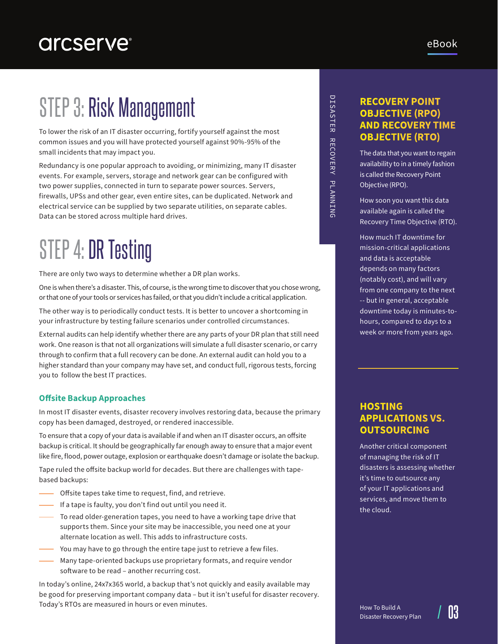To lower the risk of an IT disaster occurring, fortify yourself against the most common issues and you will have protected yourself against 90%-95% of the small incidents that may impact you.

Redundancy is one popular approach to avoiding, or minimizing, many IT disaster events. For example, servers, storage and network gear can be configured with two power supplies, connected in turn to separate power sources. Servers, firewalls, UPSs and other gear, even entire sites, can be duplicated. Network and electrical service can be supplied by two separate utilities, on separate cables. Data can be stored across multiple hard drives.

## STEP 4: DR Testing

There are only two ways to determine whether a DR plan works.

One is when there's a disaster. This, of course, is the wrong time to discover that you chose wrong, or that one of your tools or services has failed, or that you didn't include a critical application.

The other way is to periodically conduct tests. It is better to uncover a shortcoming in your infrastructure by testing failure scenarios under controlled circumstances.

External audits can help identify whether there are any parts of your DR plan that still need work. One reason is that not all organizations will simulate a full disaster scenario, or carry through to confirm that a full recovery can be done. An external audit can hold you to a higher standard than your company may have set, and conduct full, rigorous tests, forcing you to follow the best IT practices.

#### **Offsite Backup Approaches**

In most IT disaster events, disaster recovery involves restoring data, because the primary copy has been damaged, destroyed, or rendered inaccessible.

To ensure that a copy of your data is available if and when an IT disaster occurs, an offsite backup is critical. It should be geographically far enough away to ensure that a major event like fire, flood, power outage, explosion or earthquake doesn't damage or isolate the backup.

Tape ruled the offsite backup world for decades. But there are challenges with tapebased backups:

- Offsite tapes take time to request, find, and retrieve.
- $-$  If a tape is faulty, you don't find out until you need it.
- To read older-generation tapes, you need to have a working tape drive that supports them. Since your site may be inaccessible, you need one at your alternate location as well. This adds to infrastructure costs.
- You may have to go through the entire tape just to retrieve a few files.
- **Wany tape-oriented backups use proprietary formats, and require vendor** software to be read – another recurring cost.

In today's online, 24x7x365 world, a backup that's not quickly and easily available may be good for preserving important company data – but it isn't useful for disaster recovery. Today's RTOs are measured in hours or even minutes.

# DISASTER RECOVERY PLANNING DISASTER RECOVERY PLANNING

#### **RECOVERY POINT OBJECTIVE (RPO) AND RECOVERY TIME OBJECTIVE (RTO)**

The data that you want to regain availability to in a timely fashion is called the Recovery Point Objective (RPO).

How soon you want this data available again is called the Recovery Time Objective (RTO).

How much IT downtime for mission-critical applications and data is acceptable depends on many factors (notably cost), and will vary from one company to the next -- but in general, acceptable downtime today is minutes-tohours, compared to days to a week or more from years ago.

#### **HOSTING APPLICATIONS VS. OUTSOURCING**

Another critical component of managing the risk of IT disasters is assessing whether it's time to outsource any of your IT applications and services, and move them to the cloud.